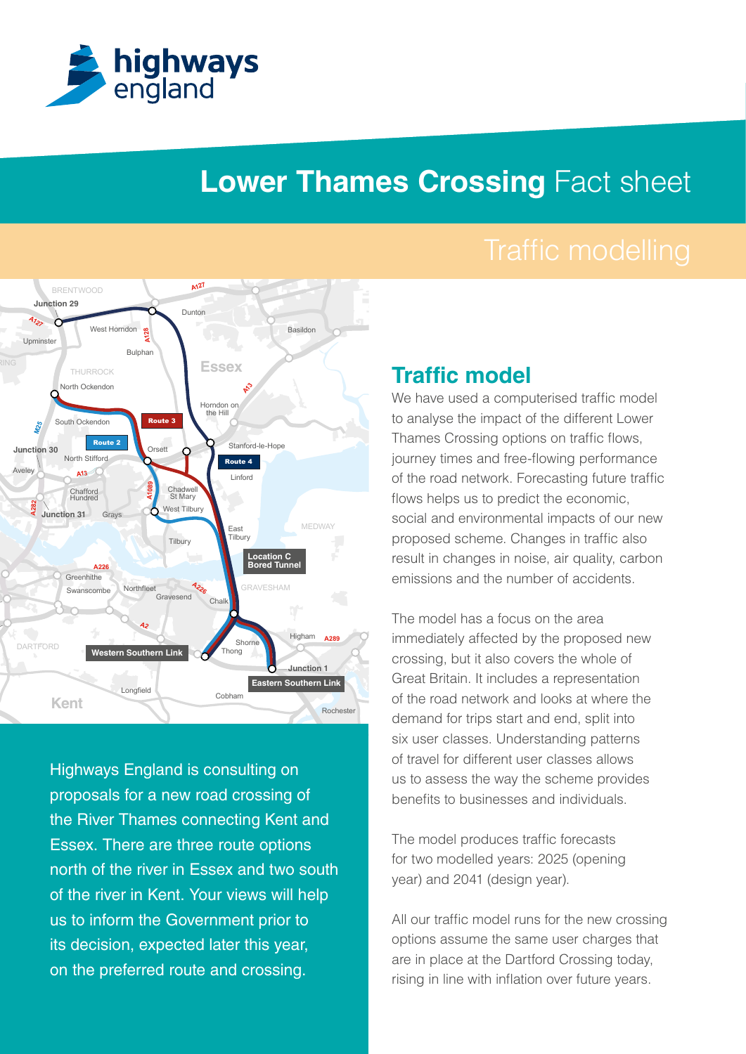

# **Lower Thames Crossing Fact sheet**



**M20 M26 M20** north of the river in Essex and two south Highways England is consulting on proposals for a new road crossing of the River Thames connecting Kent and Essex. There are three route options of the river in Kent. Your views will help us to inform the Government prior to its decision, expected later this year, on the preferred route and crossing.

#### **Traffic model**

to analyse the impact of the different Lower We have used a computerised traffic model Thames Crossing options on traffic flows, journey times and free-flowing performance of the road network. Forecasting future traffic flows helps us to predict the economic, social and environmental impacts of our new proposed scheme. Changes in traffic also result in changes in noise, air quality, carbon emissions and the number of accidents.

**M2** benefits to businesses and individuals. six user classes. Understanding patterns demand for trips start and end, split into The model has a focus on the area immediately affected by the proposed new crossing, but it also covers the whole of Great Britain. It includes a representation of the road network and looks at where the of travel for different user classes allows us to assess the way the scheme provides

The model produces traffic forecasts for two modelled years: 2025 (opening year) and 2041 (design year).

All our traffic model runs for the new crossing options assume the same user charges that are in place at the Dartford Crossing today, rising in line with inflation over future years.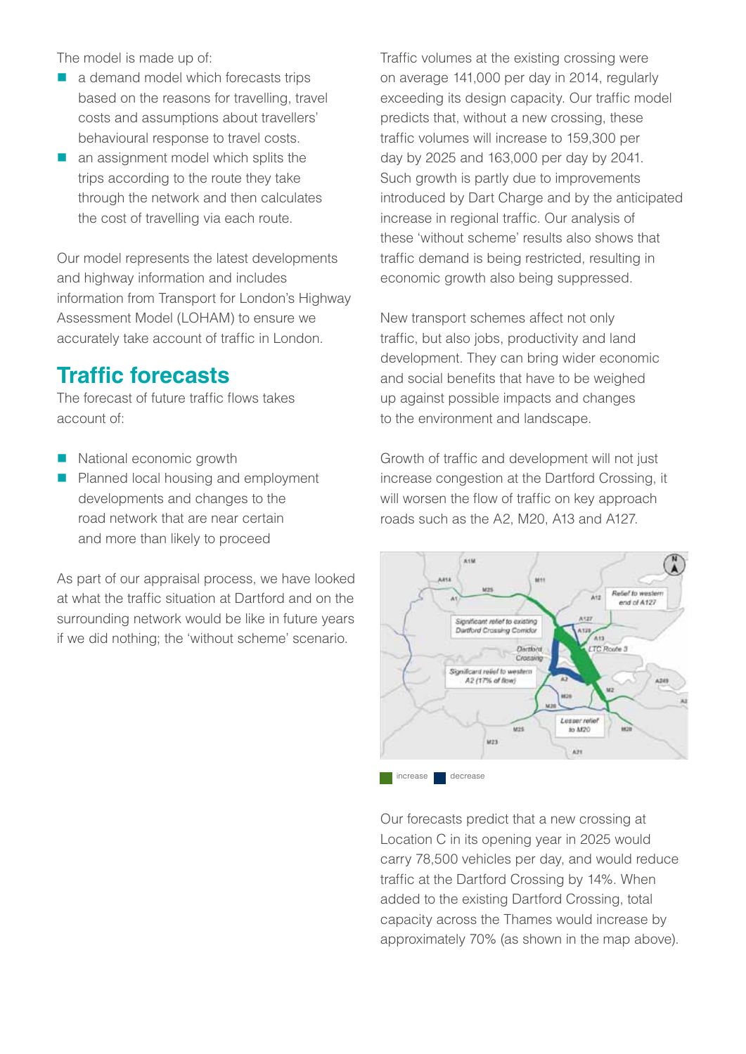The model is made up of:

- $\blacksquare$  a demand model which forecasts trips based on the reasons for travelling, travel costs and assumptions about travellers' behavioural response to travel costs.
- $\blacksquare$  an assignment model which splits the trips according to the route they take through the network and then calculates the cost of travelling via each route.

Our model represents the latest developments and highway information and includes information from Transport for London's Highway Assessment Model (LOHAM) to ensure we accurately take account of traffic in London.

## **Traffic forecasts**

The forecast of future traffic flows takes account of:

- National economic growth
- **Planned local housing and employment** developments and changes to the road network that are near certain and more than likely to proceed

As part of our appraisal process, we have looked at what the traffic situation at Dartford and on the surrounding network would be like in future years if we did nothing; the 'without scheme' scenario.

Traffic volumes at the existing crossing were on average 141,000 per day in 2014, regularly exceeding its design capacity. Our traffic model predicts that, without a new crossing, these traffic volumes will increase to 159,300 per day by 2025 and 163,000 per day by 2041. Such growth is partly due to improvements introduced by Dart Charge and by the anticipated increase in regional traffic. Our analysis of these 'without scheme' results also shows that traffic demand is being restricted, resulting in economic growth also being suppressed.

New transport schemes affect not only traffic, but also jobs, productivity and land development. They can bring wider economic and social benefits that have to be weighed up against possible impacts and changes to the environment and landscape.

Growth of traffic and development will not just increase congestion at the Dartford Crossing, it will worsen the flow of traffic on key approach roads such as the A2, M20, A13 and A127.



Our forecasts predict that a new crossing at Location C in its opening year in 2025 would carry 78,500 vehicles per day, and would reduce traffic at the Dartford Crossing by 14%. When added to the existing Dartford Crossing, total capacity across the Thames would increase by approximately 70% (as shown in the map above).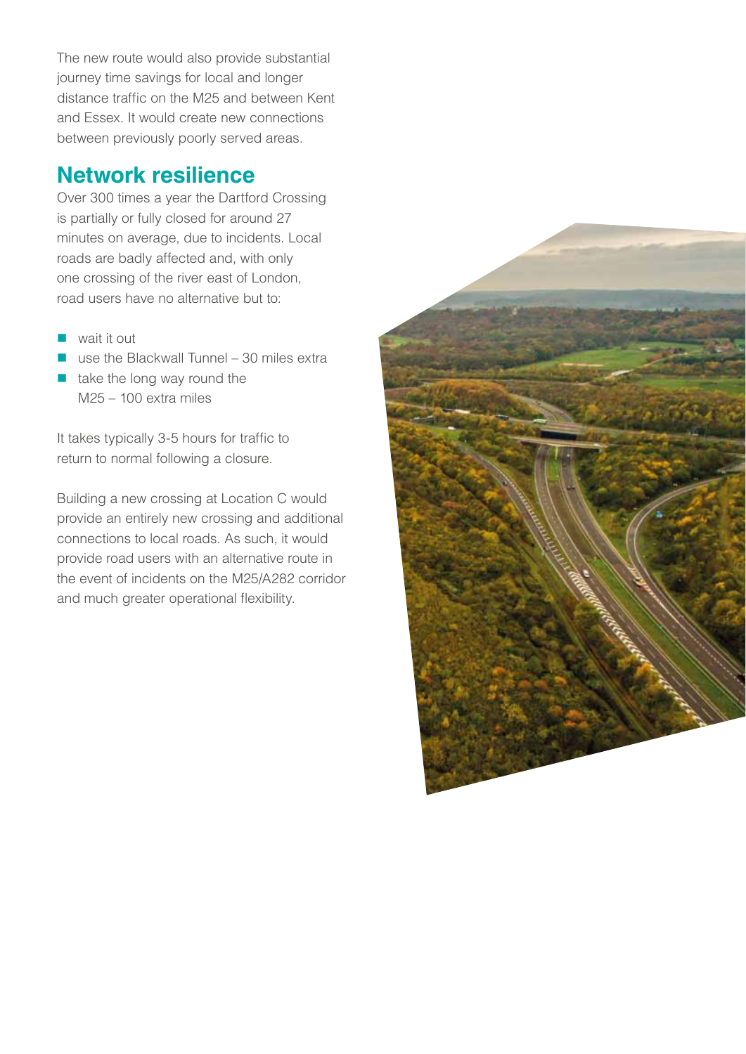The new route would also provide substantial journey time savings for local and longer distance traffic on the M25 and between Kent and Essex. It would create new connections between previously poorly served areas.

### **Network resilience**

Over 300 times a year the Dartford Crossing is partially or fully closed for around 27 minutes on average, due to incidents. Local roads are badly affected and, with only one crossing of the river east of London, road users have no alternative but to:

- $\blacksquare$  wait it out
- $\blacksquare$  use the Blackwall Tunnel 30 miles extra
- $\blacksquare$  take the long way round the M25 – 100 extra miles

It takes typically 3-5 hours for traffic to return to normal following a closure.

Building a new crossing at Location C would provide an entirely new crossing and additional connections to local roads. As such, it would provide road users with an alternative route in the event of incidents on the M25/A282 corridor and much greater operational flexibility.